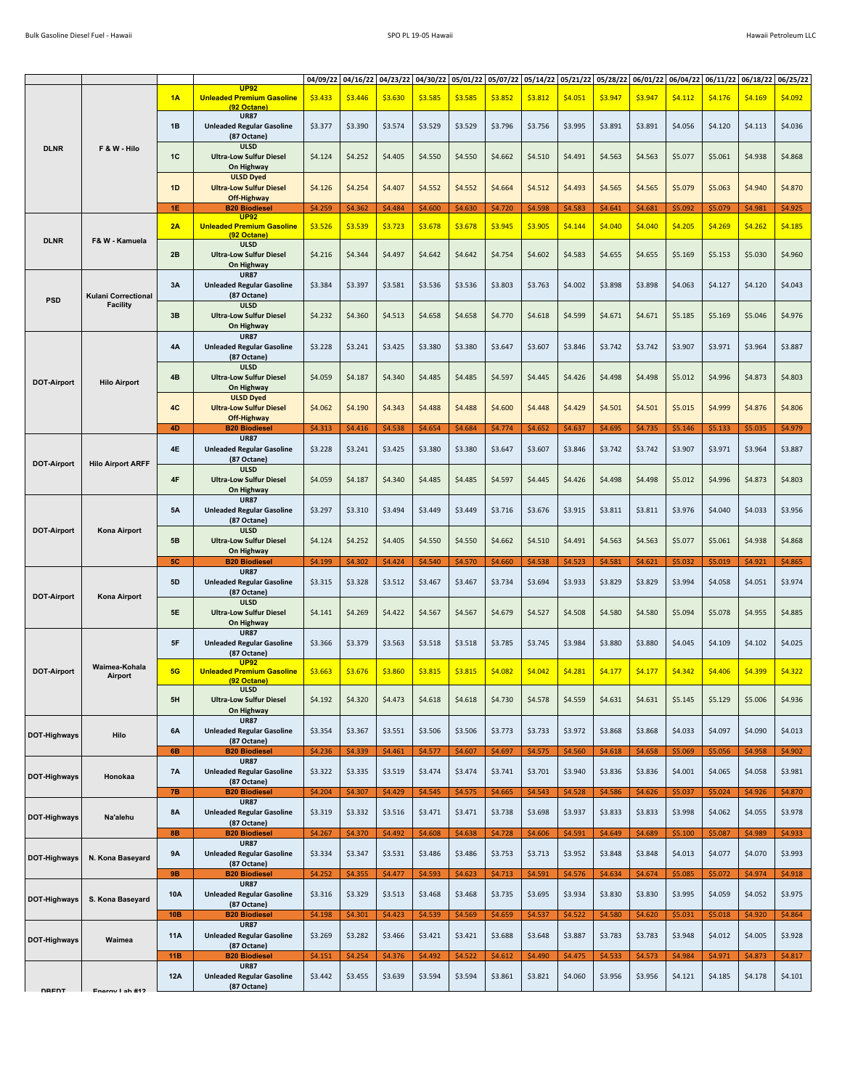| <b>DLNR</b>        | F & W - Hilo               | 1A              | <b>UP92</b><br><b>Unleaded Premium Gasoline</b>                         | 04/09/22<br>\$3.433 | 04/16/22<br>\$3.446 | 04/23/22<br>\$3.630 | 04/30/22<br>\$3.585 | 05/01/22<br>\$3.585 | 05/07/22<br>\$3.852 | 05/14/22<br>\$3.812 | 05/21/22<br>\$4.051 | 05/28/22<br>\$3.947 | 06/01/22<br>\$3.947 | 06/04/22<br>\$4.112 | \$4.176            | \$4.169            | 06/11/22 06/18/22 06/25/22<br>\$4.092 |
|--------------------|----------------------------|-----------------|-------------------------------------------------------------------------|---------------------|---------------------|---------------------|---------------------|---------------------|---------------------|---------------------|---------------------|---------------------|---------------------|---------------------|--------------------|--------------------|---------------------------------------|
|                    |                            | 1B              | (92 Octane)<br><b>UR87</b><br><b>Unleaded Regular Gasoline</b>          | \$3.377             | \$3.390             | \$3.574             | \$3.529             | \$3.529             | \$3.796             | \$3.756             | \$3.995             | \$3.891             | \$3.891             | \$4.056             | \$4.120            | \$4.113            | \$4.036                               |
|                    |                            | 1C              | (87 Octane)<br><b>ULSD</b><br><b>Ultra-Low Sulfur Diesel</b>            | \$4.124             | \$4.252             | \$4.405             | \$4.550             | \$4.550             | \$4.662             | \$4.510             | \$4.491             | \$4.563             | \$4.563             | \$5.077             | \$5.061            | \$4.938            | \$4.868                               |
|                    |                            | 1D              | On Highway<br><b>ULSD Dyed</b><br><b>Ultra-Low Sulfur Diesel</b>        | \$4.126             | \$4.254             | \$4.407             | \$4.552             | \$4.552             | \$4.664             | \$4.512             | \$4.493             | \$4.565             | \$4.565             | \$5.079             | \$5.063            | \$4.940            | \$4.870                               |
|                    |                            |                 | Off-Highway                                                             |                     |                     |                     |                     |                     |                     |                     |                     |                     |                     |                     |                    |                    |                                       |
|                    |                            | 1E              | <b>B20 Biodiesel</b><br><b>UP92</b>                                     | \$4.259             | \$4.362             | \$4.484             | \$4.600             | \$4.630             | \$4.720             | \$4.598             | \$4.583             | \$4.641             | \$4.681             | \$5.092             | \$5.079            | \$4.981            | \$4.925                               |
| <b>DLNR</b>        | F& W - Kamuela             | 2A              | <b>Unleaded Premium Gasoline</b><br>(92 Octane)<br><b>ULSD</b>          | \$3.526             | \$3.539             | \$3.723             | \$3.678             | \$3.678             | \$3.945             | \$3.905             | \$4.144             | \$4.040             | \$4.040             | \$4.205             | \$4.269            | \$4.262            | \$4.185                               |
|                    |                            | 2B              | <b>Ultra-Low Sulfur Diesel</b><br>On Highway<br><b>UR87</b>             | \$4.216             | \$4.344             | \$4.497             | \$4.642             | \$4.642             | \$4.754             | \$4.602             | \$4.583             | \$4.655             | \$4.655             | \$5.169             | \$5.153            | \$5.030            | \$4.960                               |
| <b>PSD</b>         | <b>Kulani Correctional</b> | 3A              | <b>Unleaded Regular Gasoline</b><br>(87 Octane)                         | \$3.384             | \$3.397             | \$3.581             | \$3.536             | \$3.536             | \$3.803             | \$3.763             | \$4.002             | \$3.898             | \$3.898             | \$4.063             | \$4.127            | \$4.120            | \$4.043                               |
| <b>DOT-Airport</b> | <b>Facility</b>            | 3B              | ULSD<br><b>Ultra-Low Sulfur Diesel</b><br>On Highway                    | \$4.232             | \$4.360             | \$4.513             | \$4.658             | \$4.658             | \$4.770             | \$4.618             | \$4.599             | \$4.671             | \$4.671             | \$5.185             | \$5.169            | \$5.046            | \$4.976                               |
|                    |                            | 4A              | <b>UR87</b><br><b>Unleaded Regular Gasoline</b><br>(87 Octane)          | \$3.228             | \$3.241             | \$3.425             | \$3.380             | \$3.380             | \$3.647             | \$3.607             | \$3.846             | \$3.742             | \$3.742             | \$3.907             | \$3.971            | \$3.964            | \$3.887                               |
|                    | <b>Hilo Airport</b>        | 4B              | <b>ULSD</b><br><b>Ultra-Low Sulfur Diesel</b><br>On Highway             | \$4.059             | \$4.187             | \$4.340             | \$4.485             | \$4.485             | \$4.597             | \$4.445             | \$4.426             | \$4.498             | \$4.498             | \$5.012             | \$4.996            | \$4.873            | \$4.803                               |
|                    |                            | 4C              | <b>ULSD Dyed</b><br><b>Ultra-Low Sulfur Diesel</b><br>Off-Highway       | \$4.062             | \$4.190             | \$4.343             | \$4.488             | \$4.488             | \$4.600             | \$4.448             | \$4.429             | \$4.501             | \$4.501             | \$5.015             | \$4.999            | \$4.876            | \$4.806                               |
|                    |                            | 4D              | <b>B20 Biodiesel</b>                                                    | \$4.313             | \$4.416             | \$4.538             | \$4.654             | \$4.684             | \$4.774             | \$4.652             | \$4.637             | \$4.695             | \$4.735             | \$5.146             | \$5.133            | \$5.035            | \$4.979                               |
|                    |                            | 4E              | <b>UR87</b><br><b>Unleaded Regular Gasoline</b><br>(87 Octane)          | \$3.228             | \$3.241             | \$3.425             | \$3.380             | \$3.380             | \$3.647             | \$3.607             | \$3.846             | \$3.742             | \$3.742             | \$3.907             | \$3.971            | \$3.964            | \$3.887                               |
| <b>DOT-Airport</b> | <b>Hilo Airport ARFF</b>   | $4\mathsf{F}$   | <b>ULSD</b><br><b>Ultra-Low Sulfur Diesel</b><br>On Highway             | \$4.059             | \$4.187             | \$4.340             | \$4.485             | \$4.485             | \$4.597             | \$4.445             | \$4.426             | \$4.498             | \$4.498             | \$5.012             | \$4.996            | \$4.873            | \$4.803                               |
|                    |                            | <b>5A</b>       | <b>UR87</b><br><b>Unleaded Regular Gasoline</b><br>(87 Octane)          | \$3.297             | \$3.310             | \$3.494             | \$3.449             | \$3.449             | \$3.716             | \$3.676             | \$3.915             | \$3.811             | \$3.811             | \$3.976             | \$4.040            | \$4.033            | \$3.956                               |
| <b>DOT-Airport</b> | <b>Kona Airport</b>        | 5B              | <b>ULSD</b><br><b>Ultra-Low Sulfur Diesel</b>                           | \$4.124             | \$4.252             | \$4.405             | \$4.550             | \$4.550             | \$4.662             | \$4.510             | \$4.491             | \$4.563             | \$4.563             | \$5.077             | \$5.061            | \$4.938            | \$4.868                               |
|                    |                            |                 |                                                                         |                     |                     |                     |                     |                     |                     |                     |                     |                     |                     |                     |                    |                    |                                       |
|                    |                            | <b>5C</b>       | On Highway<br><b>B20 Biodiesel</b>                                      | \$4.199             | \$4.302             | \$4.424             | \$4.540             | \$4.570             | \$4.660             | \$4.538             | \$4.523             | \$4.581             | \$4.621             | \$5.032             | \$5.019            | \$4.921            | \$4.865                               |
|                    |                            | <b>5D</b>       | <b>UR87</b><br><b>Unleaded Regular Gasoline</b><br>(87 Octane)          | \$3.315             | \$3.328             | \$3.512             | \$3.467             | \$3.467             | \$3.734             | \$3.694             | \$3.933             | \$3.829             | \$3.829             | \$3.994             | \$4.058            | \$4.051            | \$3.974                               |
| <b>DOT-Airport</b> | <b>Kona Airport</b>        | 5E              | <b>ULSD</b><br><b>Ultra-Low Sulfur Diesel</b><br>On Highway             | \$4.141             | \$4.269             | \$4.422             | \$4.567             | \$4.567             | \$4.679             | \$4.527             | \$4.508             | \$4.580             | \$4.580             | \$5.094             | \$5.078            | \$4.955            | \$4.885                               |
|                    |                            | 5F              | <b>UR87</b><br><b>Unleaded Regular Gasoline</b><br>(87 Octane)          | \$3.366             | \$3.379             | \$3.563             | \$3.518             | \$3.518             | \$3.785             | \$3.745             | \$3.984             | \$3.880             | \$3.880             | \$4.045             | \$4.109            | \$4.102            | \$4.025                               |
| <b>DOT-Airport</b> | Waimea-Kohala<br>Airport   | 5G              | <b>UP92</b><br><b>Unleaded Premium Gasoline</b><br>(92 Octane)          | \$3.663             | \$3.676             | \$3.860             | \$3.815             | \$3.815             | \$4.082             | \$4.042             | \$4.281             | \$4.177             | \$4.177             | \$4.342             | \$4.406            | \$4.399            | \$4.322                               |
|                    |                            | 5H              | <b>ULSD</b><br><b>Ultra-Low Sulfur Diesel</b><br>On Highway             | \$4.192             | \$4.320             | \$4.473             | \$4.618             | \$4.618             | \$4.730             | \$4.578             | \$4.559             | \$4.631             | \$4.631             | \$5.145             | \$5.129            | \$5.006            | \$4.936                               |
| DOT-Highways       | Hilo                       | 6A              | <b>UR87</b><br><b>Unleaded Regular Gasoline</b><br>(87 Octane)          | \$3.354             | \$3.367             | \$3.551             | \$3.506             | \$3.506             | \$3.773             | \$3.733             | \$3.972             | \$3.868             | \$3.868             | \$4.033             | \$4.097            | \$4.090            | \$4.013                               |
|                    |                            | 6B              | <b>B20 Biodiesel</b>                                                    | \$4.236             | \$4.339             | \$4.461             | \$4.577             | \$4.607             | \$4.697             | \$4.575             | \$4.560             | \$4.618             | \$4.658             | \$5.069             | \$5.056            | \$4.958            | \$4.902                               |
| DOT-Highways       | Honokaa                    | <b>7A</b>       | <b>UR87</b><br><b>Unleaded Regular Gasoline</b><br>(87 Octane)          | \$3.322             | \$3.335             | \$3.519             | \$3.474             | \$3.474             | \$3.741             | \$3.701             | \$3.940             | \$3.836             | \$3.836             | \$4.001             | \$4.065            | \$4.058            | \$3.981                               |
|                    |                            | <b>7B</b>       | <b>B20 Biodiesel</b>                                                    | \$4.204             | \$4.307             | \$4.429             | \$4.545             | \$4.575             | \$4.665             | \$4.543             | \$4.528             | \$4.586             | \$4.626             | \$5.037             | \$5.024            | \$4.926            | \$4.870                               |
| DOT-Highways       | Na'alehu                   | 8A              | <b>UR87</b><br><b>Unleaded Regular Gasoline</b><br>(87 Octane)          | \$3.319             | \$3.332             | \$3.516             | \$3.471             | \$3.471             | \$3.738             | \$3.698             | \$3.937             | \$3.833             | \$3.833             | \$3.998             | \$4.062            | \$4.055            | \$3.978                               |
| DOT-Highways       | N. Kona Baseyard           | <b>8B</b><br>9Α | <b>B20 Biodiesel</b><br><b>UR87</b><br><b>Unleaded Regular Gasoline</b> | \$4.267<br>\$3.334  | \$4.370<br>\$3.347  | \$4.492<br>\$3.531  | \$4.608<br>\$3.486  | \$4.638<br>\$3.486  | \$4.728<br>\$3.753  | \$4.606<br>\$3.713  | \$4.591<br>\$3.952  | \$4.649<br>\$3.848  | \$4.689<br>\$3.848  | \$5.100<br>\$4.013  | \$5.087<br>\$4.077 | \$4.989<br>\$4.070 | \$4.933<br>\$3.993                    |
|                    |                            | 9B              | (87 Octane)<br><b>B20 Biodiesel</b>                                     | \$4.252             | \$4.355             | \$4.477             | \$4.593             | \$4.623             | \$4.713             | \$4.591             | \$4.576             | \$4.634             | \$4.674             | \$5.085             | \$5.072            | \$4.974            | \$4.918                               |
| DOT-Highways       | S. Kona Baseyard           | 10A             | <b>UR87</b><br><b>Unleaded Regular Gasoline</b><br>(87 Octane)          | \$3.316             | \$3.329             | \$3.513             | \$3.468             | \$3.468             | \$3.735             | \$3.695             | \$3.934             | \$3.830             | \$3.830             | \$3.995             | \$4.059            | \$4.052            | \$3.975                               |
|                    |                            | 10B             | <b>B20 Biodiesel</b>                                                    | \$4.198             | \$4.301             | \$4.423             | \$4.539             | \$4.569             | \$4.659             | \$4.537             | \$4.522             | \$4.580             | \$4.620             | \$5.031             | \$5.018            | \$4.920            | \$4.864                               |
| DOT-Highways       | Waimea                     | 11A             | <b>UR87</b><br><b>Unleaded Regular Gasoline</b><br>(87 Octane)          | \$3.269             | \$3.282             | \$3.466             | \$3.421             | \$3.421             | \$3.688             | \$3.648             | \$3.887             | \$3.783             | \$3.783             | \$3.948             | \$4.012            | \$4.005            | \$3.928                               |
|                    |                            | 11B             | <b>B20 Biodiesel</b><br><b>UR87</b>                                     | \$4.151             | \$4.254             | \$4.376             | \$4.492             | \$4.522             | \$4.612             | \$4.490             | \$4.475             | \$4.533             | \$4.573             | \$4.984             | \$4.971            | \$4.873            | \$4.817                               |